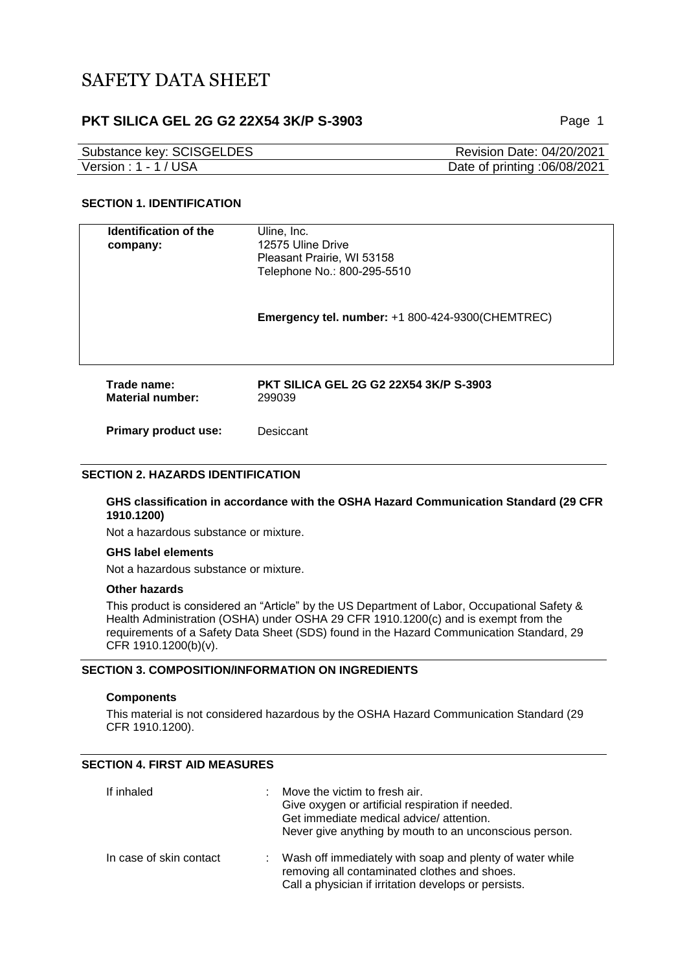# **PKT SILICA GEL 2G G2 22X54 3K/P S-3903** Page 1

| Substance key: SCISGELDES | Revision Date: 04/20/2021    |
|---------------------------|------------------------------|
| Version : 1 - 1 / USA     | Date of printing :06/08/2021 |

#### **SECTION 1. IDENTIFICATION**

| Identification of the<br>company: | Uline, Inc.<br>12575 Uline Drive<br>Pleasant Prairie, WI 53158<br>Telephone No.: 800-295-5510 |
|-----------------------------------|-----------------------------------------------------------------------------------------------|
|                                   | Emergency tel. number: +1 800-424-9300(CHEMTREC)                                              |
| Trade name:<br>Material number:   | <b>PKT SILICA GEL 2G G2 22X54 3K/P S-3903</b><br>299039                                       |

**Primary product use:** Desiccant

# **SECTION 2. HAZARDS IDENTIFICATION**

**GHS classification in accordance with the OSHA Hazard Communication Standard (29 CFR 1910.1200)** 

Not a hazardous substance or mixture.

#### **GHS label elements**

Not a hazardous substance or mixture.

#### **Other hazards**

This product is considered an "Article" by the US Department of Labor, Occupational Safety & Health Administration (OSHA) under OSHA 29 CFR 1910.1200(c) and is exempt from the requirements of a Safety Data Sheet (SDS) found in the Hazard Communication Standard, 29 CFR 1910.1200(b)(v).

### **SECTION 3. COMPOSITION/INFORMATION ON INGREDIENTS**

#### **Components**

This material is not considered hazardous by the OSHA Hazard Communication Standard (29 CFR 1910.1200).

## **SECTION 4. FIRST AID MEASURES**

| If inhaled              | ÷. | Move the victim to fresh air.<br>Give oxygen or artificial respiration if needed.<br>Get immediate medical advice/attention.<br>Never give anything by mouth to an unconscious person. |
|-------------------------|----|----------------------------------------------------------------------------------------------------------------------------------------------------------------------------------------|
| In case of skin contact | ÷. | Wash off immediately with soap and plenty of water while<br>removing all contaminated clothes and shoes.<br>Call a physician if irritation develops or persists.                       |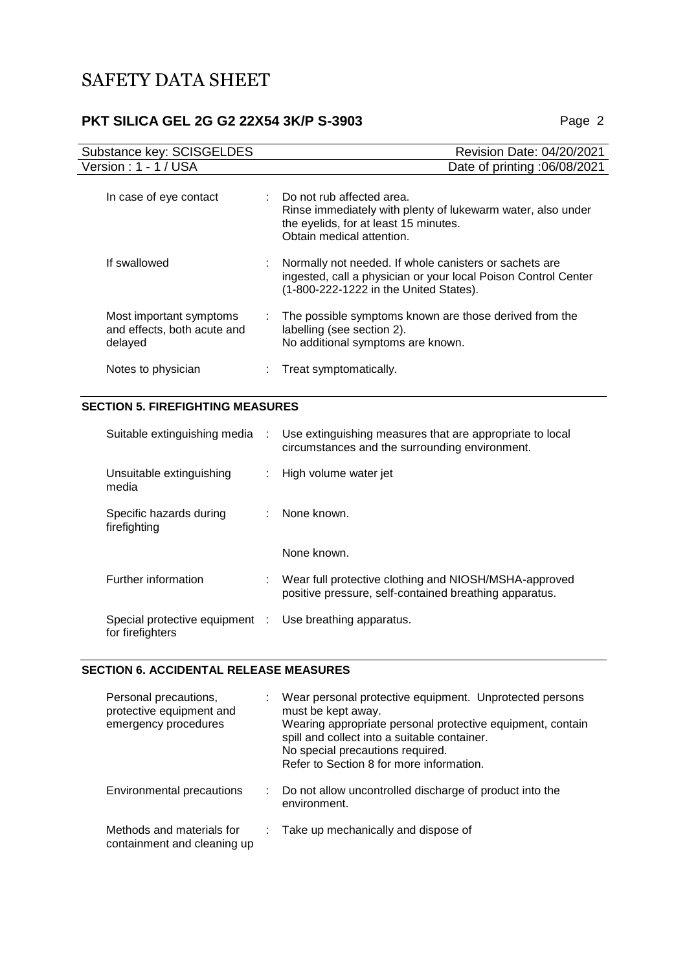# **PKT SILICA GEL 2G G2 22X54 3K/P S-3903** Page 2

| Substance key: SCISGELDES                                         | Revision Date: 04/20/2021                                                                                                                                                   |
|-------------------------------------------------------------------|-----------------------------------------------------------------------------------------------------------------------------------------------------------------------------|
| Version: 1 - 1 / USA                                              | Date of printing :06/08/2021                                                                                                                                                |
| In case of eye contact                                            | $\therefore$ Do not rub affected area.<br>Rinse immediately with plenty of lukewarm water, also under<br>the eyelids, for at least 15 minutes.<br>Obtain medical attention. |
| If swallowed                                                      | Normally not needed. If whole canisters or sachets are<br>ingested, call a physician or your local Poison Control Center<br>(1-800-222-1222 in the United States).          |
| Most important symptoms<br>and effects, both acute and<br>delayed | The possible symptoms known are those derived from the<br>labelling (see section 2).<br>No additional symptoms are known.                                                   |
| Notes to physician                                                | Treat symptomatically.                                                                                                                                                      |
| <b>SECTION 5. FIREFIGHTING MEASURES</b>                           |                                                                                                                                                                             |
| Suitable extinguishing media                                      | Use extinguishing measures that are appropriate to local                                                                                                                    |

| Suitable extinguishing media                                                | . Ose extinguishing incasures that are appropriate to local<br>circumstances and the surrounding environment.   |
|-----------------------------------------------------------------------------|-----------------------------------------------------------------------------------------------------------------|
| Unsuitable extinguishing<br>media                                           | High volume water jet                                                                                           |
| Specific hazards during<br>firefighting                                     | None known.                                                                                                     |
|                                                                             | None known.                                                                                                     |
| Further information                                                         | Wear full protective clothing and NIOSH/MSHA-approved<br>positive pressure, self-contained breathing apparatus. |
| Special protective equipment : Use breathing apparatus.<br>for firefighters |                                                                                                                 |

### **SECTION 6. ACCIDENTAL RELEASE MEASURES**

| Personal precautions,<br>protective equipment and<br>emergency procedures | Wear personal protective equipment. Unprotected persons<br>must be kept away.<br>Wearing appropriate personal protective equipment, contain<br>spill and collect into a suitable container.<br>No special precautions required.<br>Refer to Section 8 for more information. |
|---------------------------------------------------------------------------|-----------------------------------------------------------------------------------------------------------------------------------------------------------------------------------------------------------------------------------------------------------------------------|
| Environmental precautions                                                 | : Do not allow uncontrolled discharge of product into the<br>environment.                                                                                                                                                                                                   |
| Methods and materials for<br>containment and cleaning up                  | Take up mechanically and dispose of                                                                                                                                                                                                                                         |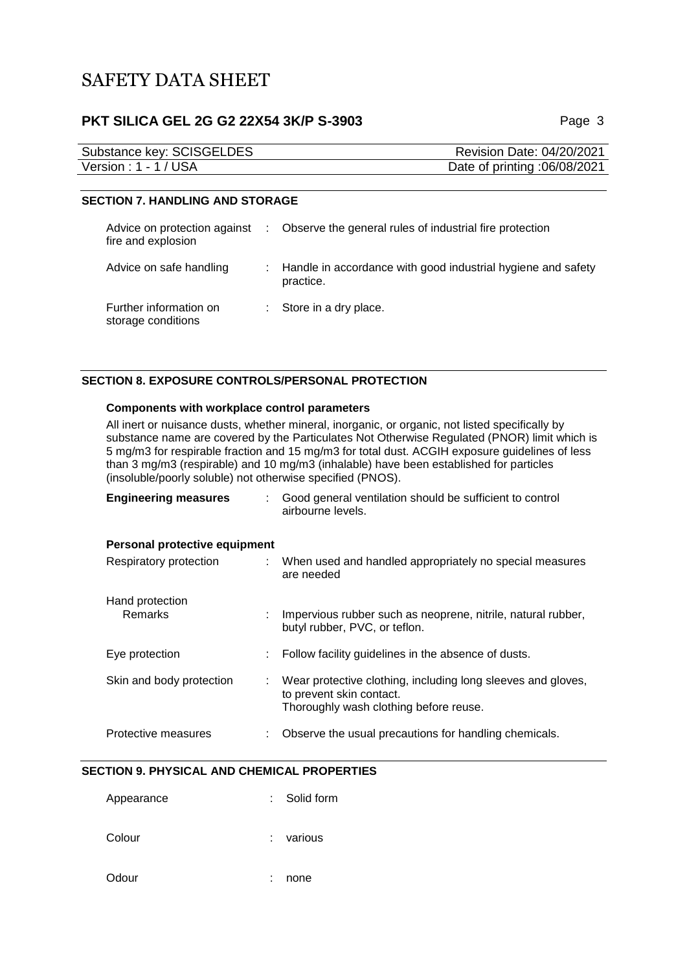# **PKT SILICA GEL 2G G2 22X54 3K/P S-3903** Page 3

| Substance key: SCISGELDES | Revision Date: 04/20/2021    |
|---------------------------|------------------------------|
| Version: 1 - 1 / USA      | Date of printing :06/08/2021 |

### **SECTION 7. HANDLING AND STORAGE**

| Advice on protection against :<br>fire and explosion | Observe the general rules of industrial fire protection                   |
|------------------------------------------------------|---------------------------------------------------------------------------|
| Advice on safe handling                              | Handle in accordance with good industrial hygiene and safety<br>practice. |
| Further information on<br>storage conditions         | $\therefore$ Store in a dry place.                                        |

### **SECTION 8. EXPOSURE CONTROLS/PERSONAL PROTECTION**

#### **Components with workplace control parameters**

All inert or nuisance dusts, whether mineral, inorganic, or organic, not listed specifically by substance name are covered by the Particulates Not Otherwise Regulated (PNOR) limit which is 5 mg/m3 for respirable fraction and 15 mg/m3 for total dust. ACGIH exposure guidelines of less than 3 mg/m3 (respirable) and 10 mg/m3 (inhalable) have been established for particles (insoluble/poorly soluble) not otherwise specified (PNOS).

| <b>Engineering measures</b>       | Good general ventilation should be sufficient to control<br>airbourne levels.                                                      |
|-----------------------------------|------------------------------------------------------------------------------------------------------------------------------------|
| Personal protective equipment     |                                                                                                                                    |
| Respiratory protection            | : When used and handled appropriately no special measures<br>are needed                                                            |
| Hand protection<br><b>Remarks</b> | Impervious rubber such as neoprene, nitrile, natural rubber,<br>butyl rubber, PVC, or teflon.                                      |
| Eye protection                    | Follow facility guidelines in the absence of dusts.                                                                                |
| Skin and body protection          | Wear protective clothing, including long sleeves and gloves,<br>to prevent skin contact.<br>Thoroughly wash clothing before reuse. |
| Protective measures               | Observe the usual precautions for handling chemicals.                                                                              |

# **SECTION 9. PHYSICAL AND CHEMICAL PROPERTIES**

| Appearance | ÷      | Solid form |
|------------|--------|------------|
| Colour     | t.     | various    |
| Odour      | ٠<br>٠ | none       |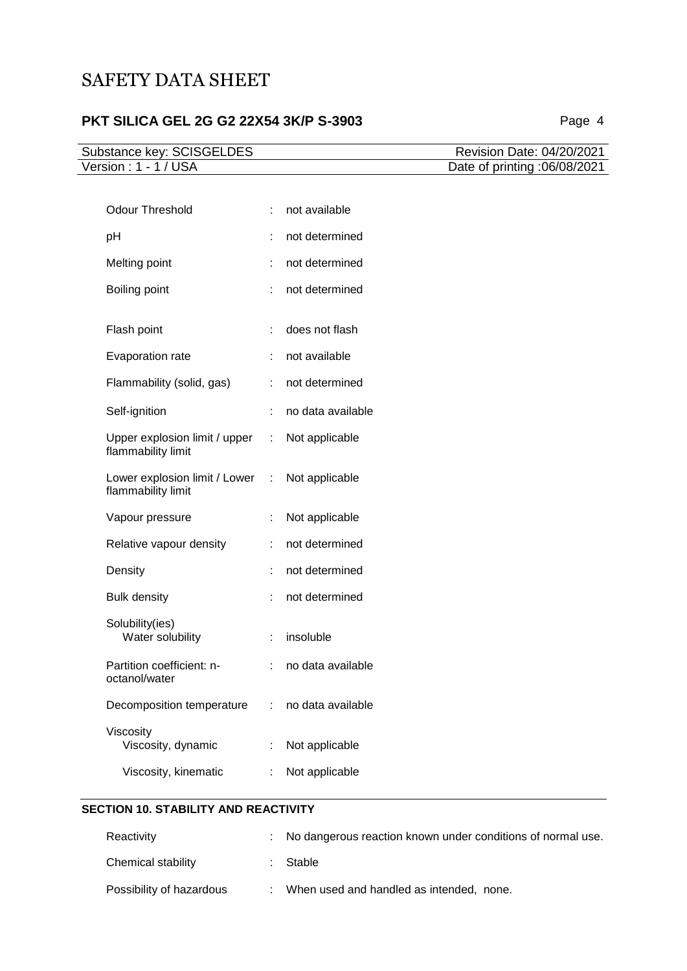# **PKT SILICA GEL 2G G2 22X54 3K/P S-3903** Page 4

| Substance key: SCISGELDES<br>Version: 1 - 1 / USA     |    |                   | Revision Date: 04/20/2021    |
|-------------------------------------------------------|----|-------------------|------------------------------|
|                                                       |    |                   | Date of printing :06/08/2021 |
|                                                       |    |                   |                              |
| <b>Odour Threshold</b>                                | ÷  | not available     |                              |
| pH                                                    |    | not determined    |                              |
| Melting point                                         |    | not determined    |                              |
| Boiling point                                         | ÷  | not determined    |                              |
|                                                       |    |                   |                              |
| Flash point                                           | ÷. | does not flash    |                              |
| Evaporation rate                                      | ÷  | not available     |                              |
| Flammability (solid, gas)                             | ÷  | not determined    |                              |
| Self-ignition                                         | ÷  | no data available |                              |
| Upper explosion limit / upper<br>flammability limit   | ÷  | Not applicable    |                              |
| Lower explosion limit / Lower :<br>flammability limit |    | Not applicable    |                              |
| Vapour pressure                                       |    | Not applicable    |                              |
| Relative vapour density                               |    | not determined    |                              |
| Density                                               |    | not determined    |                              |
| <b>Bulk density</b>                                   |    | not determined    |                              |
| Solubility(ies)<br>Water solubility                   |    | insoluble         |                              |
| Partition coefficient: n-<br>octanol/water            |    | no data available |                              |
| Decomposition temperature                             | ÷  | no data available |                              |
| Viscosity<br>Viscosity, dynamic                       |    | Not applicable    |                              |
| Viscosity, kinematic                                  |    | Not applicable    |                              |

# **SECTION 10. STABILITY AND REACTIVITY**

| Reactivity               | : No dangerous reaction known under conditions of normal use. |
|--------------------------|---------------------------------------------------------------|
| Chemical stability       | : Stable                                                      |
| Possibility of hazardous | When used and handled as intended, none.                      |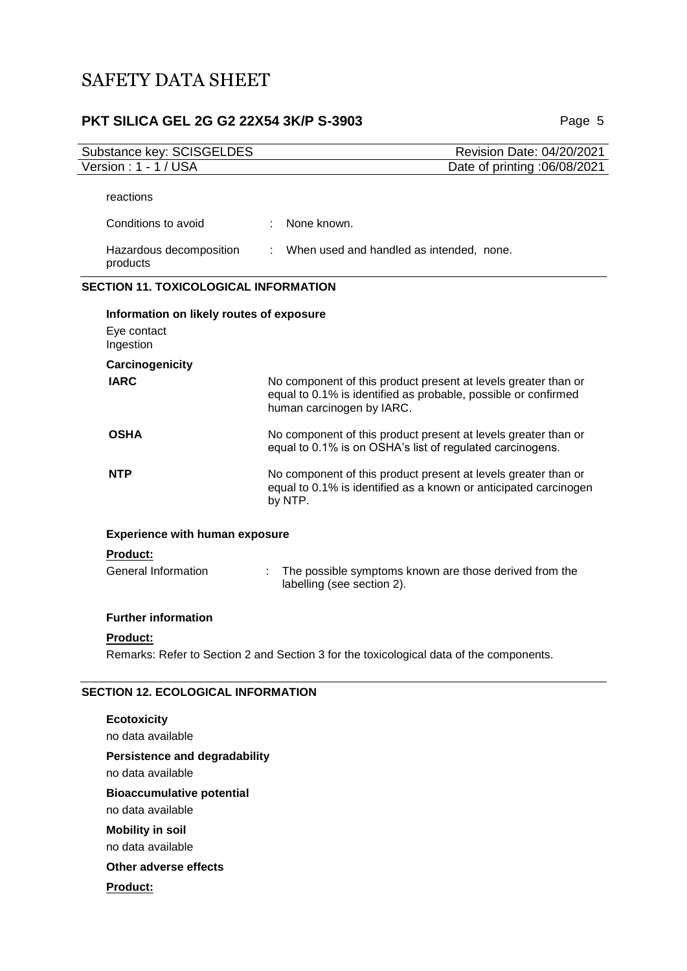# **PKT SILICA GEL 2G G2 22X54 3K/P S-3903** Page 5

| Substance key: SCISGELDES                                                               | Revision Date: 04/20/2021                                                                                                                                     |  |
|-----------------------------------------------------------------------------------------|---------------------------------------------------------------------------------------------------------------------------------------------------------------|--|
| Version: 1 - 1 / USA                                                                    | Date of printing :06/08/2021                                                                                                                                  |  |
| reactions                                                                               |                                                                                                                                                               |  |
| Conditions to avoid                                                                     | None known.                                                                                                                                                   |  |
| Hazardous decomposition<br>products                                                     | When used and handled as intended, none.                                                                                                                      |  |
| <b>SECTION 11. TOXICOLOGICAL INFORMATION</b>                                            |                                                                                                                                                               |  |
| Information on likely routes of exposure<br>Eye contact<br>Ingestion                    |                                                                                                                                                               |  |
| Carcinogenicity                                                                         |                                                                                                                                                               |  |
| <b>IARC</b>                                                                             | No component of this product present at levels greater than or<br>equal to 0.1% is identified as probable, possible or confirmed<br>human carcinogen by IARC. |  |
| <b>OSHA</b>                                                                             | No component of this product present at levels greater than or<br>equal to 0.1% is on OSHA's list of regulated carcinogens.                                   |  |
| <b>NTP</b>                                                                              | No component of this product present at levels greater than or<br>equal to 0.1% is identified as a known or anticipated carcinogen<br>by NTP.                 |  |
| <b>Experience with human exposure</b>                                                   |                                                                                                                                                               |  |
| Product:                                                                                |                                                                                                                                                               |  |
| General Information                                                                     | The possible symptoms known are those derived from the<br>labelling (see section 2).                                                                          |  |
| <b>Further information</b>                                                              |                                                                                                                                                               |  |
| Product:                                                                                |                                                                                                                                                               |  |
| Remarks: Refer to Section 2 and Section 3 for the toxicological data of the components. |                                                                                                                                                               |  |
| <b>SECTION 12. ECOLOGICAL INFORMATION</b>                                               |                                                                                                                                                               |  |
| <b>Ecotoxicity</b><br>no data available                                                 |                                                                                                                                                               |  |
| <b>Persistence and degradability</b><br>no data available                               |                                                                                                                                                               |  |
| <b>Bioaccumulative potential</b><br>no data available                                   |                                                                                                                                                               |  |

**Mobility in soil**  no data available

# **Other adverse effects**

**Product:**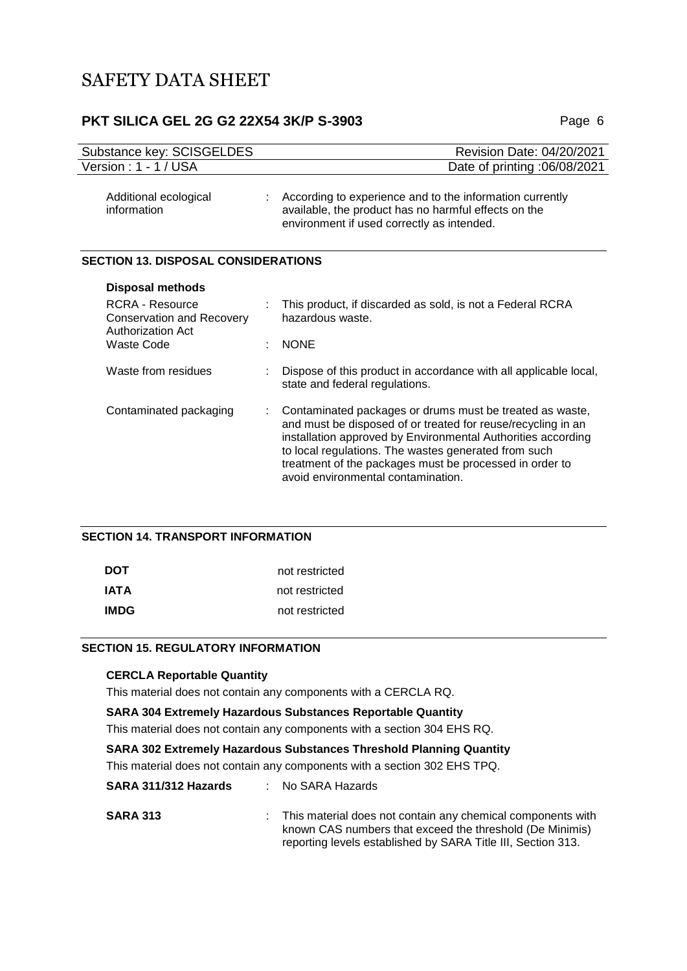# **PKT SILICA GEL 2G G2 22X54 3K/P S-3903** Page 6

| Substance key: SCISGELDES                  | Revision Date: 04/20/2021                                                                                                                                      |
|--------------------------------------------|----------------------------------------------------------------------------------------------------------------------------------------------------------------|
| Version: 1 - 1 / USA                       | Date of printing: 06/08/2021                                                                                                                                   |
| Additional ecological<br>information       | According to experience and to the information currently<br>available, the product has no harmful effects on the<br>environment if used correctly as intended. |
| <b>SECTION 13. DISPOSAL CONSIDERATIONS</b> |                                                                                                                                                                |
| <b>Disposal methods</b>                    |                                                                                                                                                                |
| RCRA - Resource                            | This product, if discarded as sold, is not a Federal RCRA                                                                                                      |

| RCRA - Resource<br><b>Conservation and Recovery</b><br>Authorization Act | : This product, if discarded as sold, is not a Federal RCRA<br>hazardous waste.                                                                                                                                                                                                                                                                   |
|--------------------------------------------------------------------------|---------------------------------------------------------------------------------------------------------------------------------------------------------------------------------------------------------------------------------------------------------------------------------------------------------------------------------------------------|
| Waste Code                                                               | <b>NONE</b>                                                                                                                                                                                                                                                                                                                                       |
| Waste from residues                                                      | Dispose of this product in accordance with all applicable local,<br>state and federal regulations.                                                                                                                                                                                                                                                |
| Contaminated packaging                                                   | Contaminated packages or drums must be treated as waste,<br>and must be disposed of or treated for reuse/recycling in an<br>installation approved by Environmental Authorities according<br>to local regulations. The wastes generated from such<br>treatment of the packages must be processed in order to<br>avoid environmental contamination. |

# **SECTION 14. TRANSPORT INFORMATION**

| DOT  | not restricted |
|------|----------------|
| IATA | not restricted |
| IMDG | not restricted |

### **SECTION 15. REGULATORY INFORMATION**

### **CERCLA Reportable Quantity**

This material does not contain any components with a CERCLA RQ.

### **SARA 304 Extremely Hazardous Substances Reportable Quantity**

This material does not contain any components with a section 304 EHS RQ.

## **SARA 302 Extremely Hazardous Substances Threshold Planning Quantity**

This material does not contain any components with a section 302 EHS TPQ.

**SARA 311/312 Hazards** : No SARA Hazards

**SARA 313** : This material does not contain any chemical components with known CAS numbers that exceed the threshold (De Minimis) reporting levels established by SARA Title III, Section 313.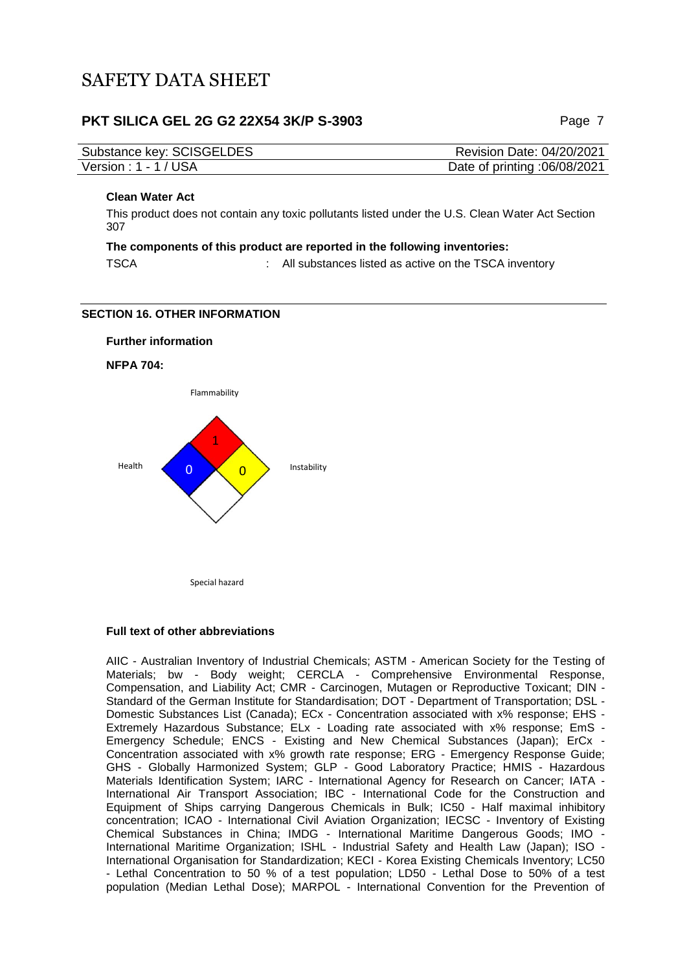# **PKT SILICA GEL 2G G2 22X54 3K/P S-3903** Page 7

| Substance key: SCISGELDES | Revision Date: 04/20/2021    |
|---------------------------|------------------------------|
| Version : 1 - 1 / USA     | Date of printing :06/08/2021 |

## **Clean Water Act**

This product does not contain any toxic pollutants listed under the U.S. Clean Water Act Section 307

### **The components of this product are reported in the following inventories:**

TSCA : All substances listed as active on the TSCA inventory

### **SECTION 16. OTHER INFORMATION**

### **Further information**

## **NFPA 704:**



#### **Full text of other abbreviations**

AIIC - Australian Inventory of Industrial Chemicals; ASTM - American Society for the Testing of Materials; bw - Body weight; CERCLA - Comprehensive Environmental Response, Compensation, and Liability Act; CMR - Carcinogen, Mutagen or Reproductive Toxicant; DIN - Standard of the German Institute for Standardisation; DOT - Department of Transportation; DSL - Domestic Substances List (Canada); ECx - Concentration associated with x% response; EHS - Extremely Hazardous Substance; ELx - Loading rate associated with x% response; EmS - Emergency Schedule; ENCS - Existing and New Chemical Substances (Japan); ErCx - Concentration associated with x% growth rate response; ERG - Emergency Response Guide; GHS - Globally Harmonized System; GLP - Good Laboratory Practice; HMIS - Hazardous Materials Identification System; IARC - International Agency for Research on Cancer; IATA - International Air Transport Association; IBC - International Code for the Construction and Equipment of Ships carrying Dangerous Chemicals in Bulk; IC50 - Half maximal inhibitory concentration; ICAO - International Civil Aviation Organization; IECSC - Inventory of Existing Chemical Substances in China; IMDG - International Maritime Dangerous Goods; IMO - International Maritime Organization; ISHL - Industrial Safety and Health Law (Japan); ISO - International Organisation for Standardization; KECI - Korea Existing Chemicals Inventory; LC50 - Lethal Concentration to 50 % of a test population; LD50 - Lethal Dose to 50% of a test population (Median Lethal Dose); MARPOL - International Convention for the Prevention of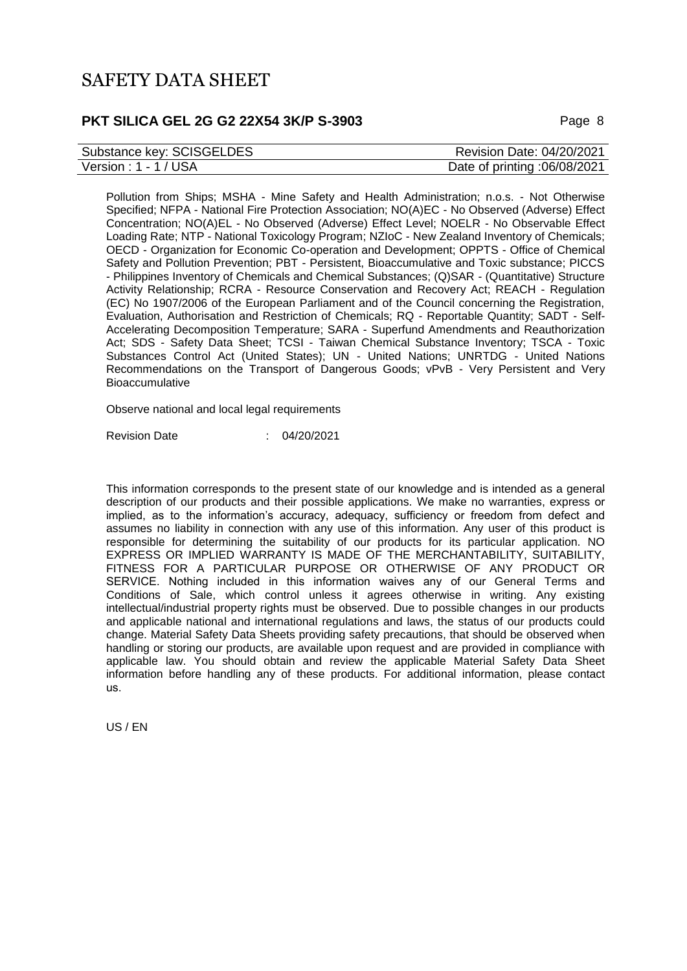# **PKT SILICA GEL 2G G2 22X54 3K/P S-3903** Page 8

| Substance key: SCISGELDES | Revision Date: 04/20/2021    |
|---------------------------|------------------------------|
| Version : 1 - 1 / USA     | Date of printing :06/08/2021 |

Pollution from Ships; MSHA - Mine Safety and Health Administration; n.o.s. - Not Otherwise Specified; NFPA - National Fire Protection Association; NO(A)EC - No Observed (Adverse) Effect Concentration; NO(A)EL - No Observed (Adverse) Effect Level; NOELR - No Observable Effect Loading Rate; NTP - National Toxicology Program; NZIoC - New Zealand Inventory of Chemicals; OECD - Organization for Economic Co-operation and Development; OPPTS - Office of Chemical Safety and Pollution Prevention; PBT - Persistent, Bioaccumulative and Toxic substance; PICCS - Philippines Inventory of Chemicals and Chemical Substances; (Q)SAR - (Quantitative) Structure Activity Relationship; RCRA - Resource Conservation and Recovery Act; REACH - Regulation (EC) No 1907/2006 of the European Parliament and of the Council concerning the Registration, Evaluation, Authorisation and Restriction of Chemicals; RQ - Reportable Quantity; SADT - Self-Accelerating Decomposition Temperature; SARA - Superfund Amendments and Reauthorization Act; SDS - Safety Data Sheet; TCSI - Taiwan Chemical Substance Inventory; TSCA - Toxic Substances Control Act (United States); UN - United Nations; UNRTDG - United Nations Recommendations on the Transport of Dangerous Goods; vPvB - Very Persistent and Very Bioaccumulative

Observe national and local legal requirements

Revision Date : 04/20/2021

This information corresponds to the present state of our knowledge and is intended as a general description of our products and their possible applications. We make no warranties, express or implied, as to the information's accuracy, adequacy, sufficiency or freedom from defect and assumes no liability in connection with any use of this information. Any user of this product is responsible for determining the suitability of our products for its particular application. NO EXPRESS OR IMPLIED WARRANTY IS MADE OF THE MERCHANTABILITY, SUITABILITY, FITNESS FOR A PARTICULAR PURPOSE OR OTHERWISE OF ANY PRODUCT OR SERVICE. Nothing included in this information waives any of our General Terms and Conditions of Sale, which control unless it agrees otherwise in writing. Any existing intellectual/industrial property rights must be observed. Due to possible changes in our products and applicable national and international regulations and laws, the status of our products could change. Material Safety Data Sheets providing safety precautions, that should be observed when handling or storing our products, are available upon request and are provided in compliance with applicable law. You should obtain and review the applicable Material Safety Data Sheet information before handling any of these products. For additional information, please contact us.

US / EN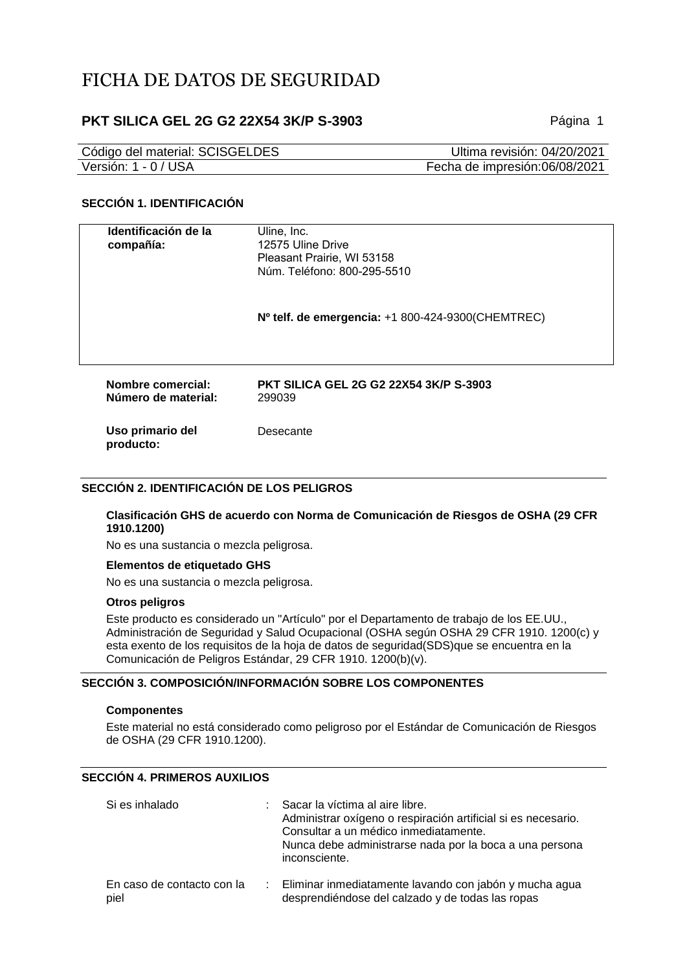# **PKT SILICA GEL 2G G2 22X54 3K/P S-3903** Página 1

| Código del material: SCISGELDES | Ultima revisión: 04/20/2021   |
|---------------------------------|-------------------------------|
| Versión: 1 - 0 / USA            | Fecha de impresión:06/08/2021 |

### **SECCIÓN 1. IDENTIFICACIÓN**

| Identificación de la<br>compañía:        | Uline, Inc.<br>12575 Uline Drive<br>Pleasant Prairie, WI 53158<br>Núm. Teléfono: 800-295-5510 |
|------------------------------------------|-----------------------------------------------------------------------------------------------|
|                                          | $No$ telf. de emergencia: +1 800-424-9300(CHEMTREC)                                           |
| Nombre comercial:<br>Número de material: | <b>PKT SILICA GEL 2G G2 22X54 3K/P S-3903</b><br>299039                                       |

**Uso primario del producto:** Desecante

# **SECCIÓN 2. IDENTIFICACIÓN DE LOS PELIGROS**

### **Clasificación GHS de acuerdo con Norma de Comunicación de Riesgos de OSHA (29 CFR 1910.1200)**

No es una sustancia o mezcla peligrosa.

#### **Elementos de etiquetado GHS**

No es una sustancia o mezcla peligrosa.

# **Otros peligros**

Este producto es considerado un "Artículo" por el Departamento de trabajo de los EE.UU., Administración de Seguridad y Salud Ocupacional (OSHA según OSHA 29 CFR 1910. 1200(c) y esta exento de los requisitos de la hoja de datos de seguridad(SDS)que se encuentra en la Comunicación de Peligros Estándar, 29 CFR 1910. 1200(b)(v).

### **SECCIÓN 3. COMPOSICIÓN/INFORMACIÓN SOBRE LOS COMPONENTES**

#### **Componentes**

Este material no está considerado como peligroso por el Estándar de Comunicación de Riesgos de OSHA (29 CFR 1910.1200).

# **SECCIÓN 4. PRIMEROS AUXILIOS**

| Si es inhalado             | : Sacar la víctima al aire libre.<br>Administrar oxígeno o respiración artificial si es necesario.<br>Consultar a un médico inmediatamente.<br>Nunca debe administrarse nada por la boca a una persona<br>inconsciente. |
|----------------------------|-------------------------------------------------------------------------------------------------------------------------------------------------------------------------------------------------------------------------|
| En caso de contacto con la | : Eliminar inmediatamente lavando con jabón y mucha agua                                                                                                                                                                |
| piel                       | desprendiéndose del calzado y de todas las ropas                                                                                                                                                                        |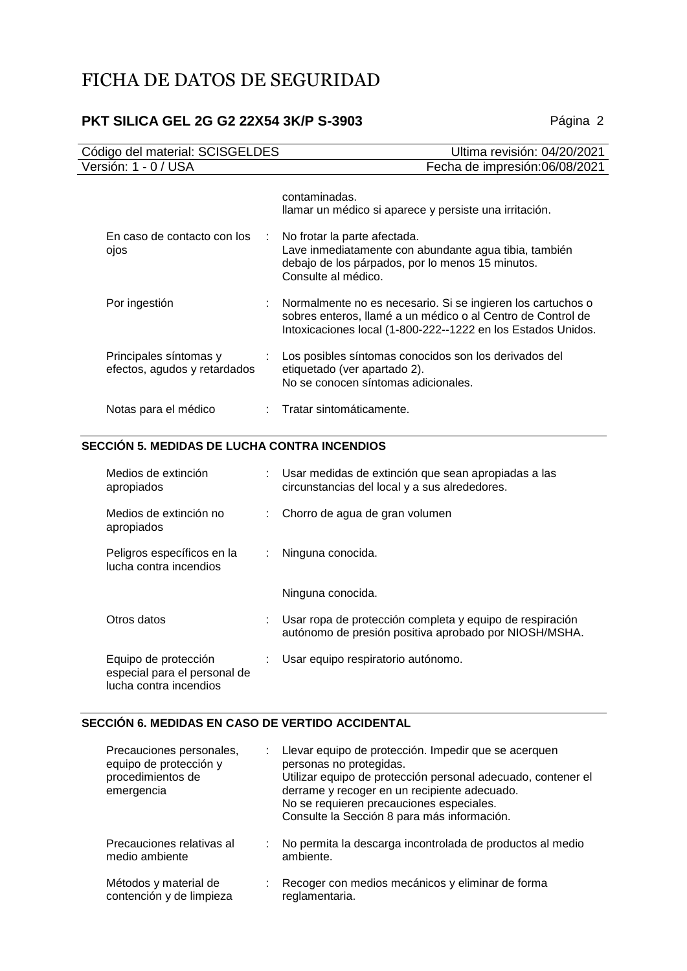# **PKT SILICA GEL 2G G2 22X54 3K/P S-3903** PAT **Página 2**

| Código del material: SCISGELDES                        | Ultima revisión: 04/20/2021                                                                                                                                                                |  |
|--------------------------------------------------------|--------------------------------------------------------------------------------------------------------------------------------------------------------------------------------------------|--|
| Versión: 1 - 0 / USA                                   | Fecha de impresión:06/08/2021                                                                                                                                                              |  |
|                                                        | contaminadas.<br>llamar un médico si aparece y persiste una irritación.                                                                                                                    |  |
| En caso de contacto con los<br>ojos                    | No frotar la parte afectada.<br>Lave inmediatamente con abundante agua tibia, también<br>debajo de los párpados, por lo menos 15 minutos.<br>Consulte al médico.                           |  |
| Por ingestión                                          | Normalmente no es necesario. Si se ingieren los cartuchos o<br>sobres enteros, llamé a un médico o al Centro de Control de<br>Intoxicaciones local (1-800-222--1222 en los Estados Unidos. |  |
| Principales síntomas y<br>efectos, agudos y retardados | Los posibles síntomas conocidos son los derivados del<br>etiquetado (ver apartado 2).<br>No se conocen síntomas adicionales.                                                               |  |
| Notas para el médico                                   | Tratar sintomáticamente.                                                                                                                                                                   |  |
| <b>SECCIÓN 5. MEDIDAS DE LUCHA CONTRA INCENDIOS</b>    |                                                                                                                                                                                            |  |

| Medios de extinción<br>apropiados                                              |    | : Usar medidas de extinción que sean apropiadas a las<br>circunstancias del local y a sus alrededores.            |
|--------------------------------------------------------------------------------|----|-------------------------------------------------------------------------------------------------------------------|
| Medios de extinción no<br>apropiados                                           | t. | Chorro de agua de gran volumen                                                                                    |
| Peligros específicos en la<br>lucha contra incendios                           | ÷. | Ninguna conocida.                                                                                                 |
|                                                                                |    | Ninguna conocida.                                                                                                 |
| Otros datos                                                                    |    | Usar ropa de protección completa y equipo de respiración<br>autónomo de presión positiva aprobado por NIOSH/MSHA. |
| Equipo de protección<br>especial para el personal de<br>lucha contra incendios | t. | Usar equipo respiratorio autónomo.                                                                                |

# **SECCIÓN 6. MEDIDAS EN CASO DE VERTIDO ACCIDENTAL**

| Precauciones personales,<br>equipo de protección y<br>procedimientos de<br>emergencia | Llevar equipo de protección. Impedir que se acerquen<br>personas no protegidas.<br>Utilizar equipo de protección personal adecuado, contener el<br>derrame y recoger en un recipiente adecuado.<br>No se requieren precauciones especiales.<br>Consulte la Sección 8 para más información. |
|---------------------------------------------------------------------------------------|--------------------------------------------------------------------------------------------------------------------------------------------------------------------------------------------------------------------------------------------------------------------------------------------|
| Precauciones relativas al<br>medio ambiente                                           | No permita la descarga incontrolada de productos al medio<br>ambiente.                                                                                                                                                                                                                     |
| Métodos y material de<br>contención y de limpieza                                     | Recoger con medios mecánicos y eliminar de forma<br>reglamentaria.                                                                                                                                                                                                                         |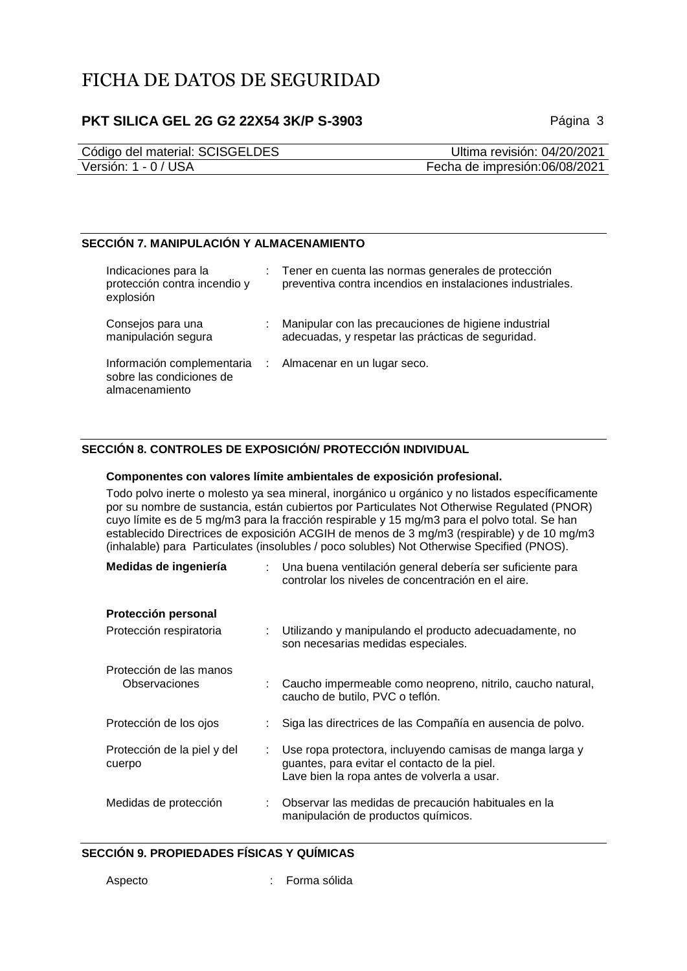# **PKT SILICA GEL 2G G2 22X54 3K/P S-3903** PAT **Página 3**

| Código del material: SCISGELDES | Ultima revisión: 04/20/2021   |
|---------------------------------|-------------------------------|
| Versión: 1 - 0 / USA            | Fecha de impresión:06/08/2021 |

### **SECCIÓN 7. MANIPULACIÓN Y ALMACENAMIENTO**

| Indicaciones para la<br>protección contra incendio y<br>explosión        |            | : Tener en cuenta las normas generales de protección<br>preventiva contra incendios en instalaciones industriales. |
|--------------------------------------------------------------------------|------------|--------------------------------------------------------------------------------------------------------------------|
| Consejos para una<br>manipulación segura                                 |            | Manipular con las precauciones de higiene industrial<br>adecuadas, y respetar las prácticas de seguridad.          |
| Información complementaria<br>sobre las condiciones de<br>almacenamiento | $\sim 100$ | Almacenar en un lugar seco.                                                                                        |

# **SECCIÓN 8. CONTROLES DE EXPOSICIÓN/ PROTECCIÓN INDIVIDUAL**

#### **Componentes con valores límite ambientales de exposición profesional.**

Todo polvo inerte o molesto ya sea mineral, inorgánico u orgánico y no listados específicamente por su nombre de sustancia, están cubiertos por Particulates Not Otherwise Regulated (PNOR) cuyo límite es de 5 mg/m3 para la fracción respirable y 15 mg/m3 para el polvo total. Se han establecido Directrices de exposición ACGIH de menos de 3 mg/m3 (respirable) y de 10 mg/m3 (inhalable) para Particulates (insolubles / poco solubles) Not Otherwise Specified (PNOS).

| Medidas de ingeniería                          |    | : Una buena ventilación general debería ser suficiente para<br>controlar los niveles de concentración en el aire.                                       |
|------------------------------------------------|----|---------------------------------------------------------------------------------------------------------------------------------------------------------|
| Protección personal<br>Protección respiratoria |    | : Utilizando y manipulando el producto adecuadamente, no<br>son necesarias medidas especiales.                                                          |
| Protección de las manos<br>Observaciones       | ÷. | Caucho impermeable como neopreno, nitrilo, caucho natural,<br>caucho de butilo, PVC o teflón.                                                           |
| Protección de los ojos                         |    | Siga las directrices de las Compañía en ausencia de polvo.                                                                                              |
| Protección de la piel y del<br>cuerpo          |    | Use ropa protectora, incluyendo camisas de manga larga y<br>guantes, para evitar el contacto de la piel.<br>Lave bien la ropa antes de volverla a usar. |
| Medidas de protección                          |    | : Observar las medidas de precaución habituales en la<br>manipulación de productos químicos.                                                            |

# **SECCIÓN 9. PROPIEDADES FÍSICAS Y QUÍMICAS**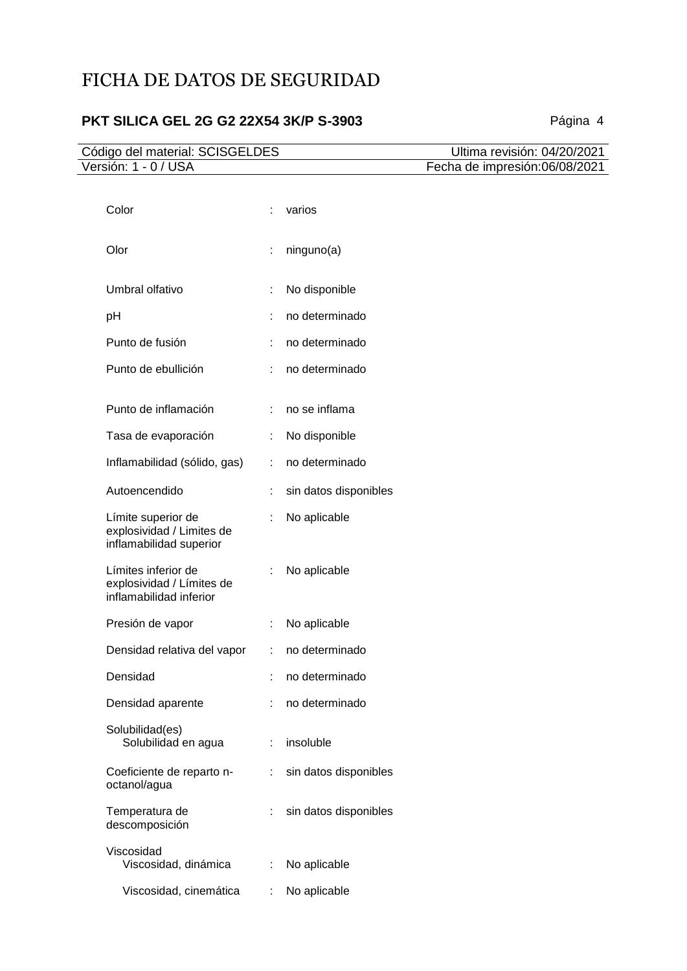# **PKT SILICA GEL 2G G2 22X54 3K/P S-3903** Página 4

| Código del material: SCISGELDES                                             |                       | Ultima revisión: 04/20/2021   |
|-----------------------------------------------------------------------------|-----------------------|-------------------------------|
| Versión: 1 - 0 / USA                                                        |                       | Fecha de impresión:06/08/2021 |
| Color                                                                       | varios                |                               |
| Olor                                                                        | ninguno(a)            |                               |
| Umbral olfativo                                                             | No disponible         |                               |
| pH<br>÷                                                                     | no determinado        |                               |
| Punto de fusión                                                             | no determinado        |                               |
| Punto de ebullición                                                         | no determinado        |                               |
| Punto de inflamación                                                        | no se inflama         |                               |
| Tasa de evaporación                                                         | No disponible         |                               |
| Inflamabilidad (sólido, gas)                                                | no determinado        |                               |
| Autoencendido                                                               | sin datos disponibles |                               |
| Límite superior de<br>explosividad / Limites de<br>inflamabilidad superior  | No aplicable          |                               |
| Límites inferior de<br>explosividad / Límites de<br>inflamabilidad inferior | No aplicable          |                               |
| Presión de vapor                                                            | No aplicable          |                               |
| Densidad relativa del vapor                                                 | no determinado        |                               |
| Densidad                                                                    | no determinado        |                               |
| Densidad aparente                                                           | no determinado        |                               |
| Solubilidad(es)<br>Solubilidad en agua                                      | insoluble             |                               |
| Coeficiente de reparto n-<br>octanol/agua                                   | sin datos disponibles |                               |
| Temperatura de<br>descomposición                                            | sin datos disponibles |                               |
| Viscosidad<br>Viscosidad, dinámica                                          | No aplicable          |                               |
| Viscosidad, cinemática                                                      | No aplicable          |                               |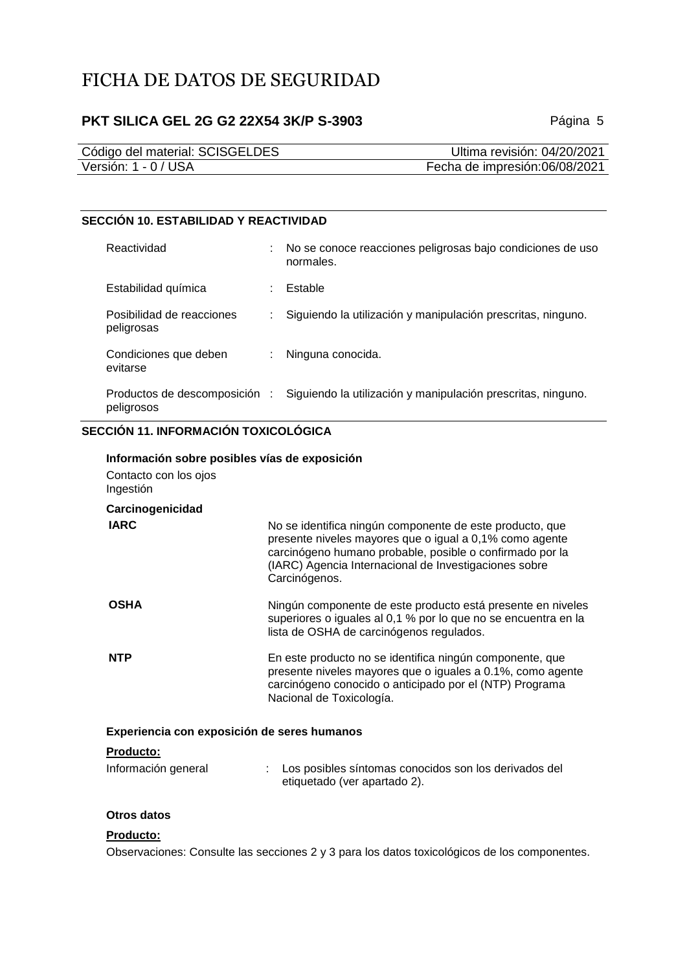# **PKT SILICA GEL 2G G2 22X54 3K/P S-3903** PAT **Página 5**

| Código del material: SCISGELDES | Ultima revisión: 04/20/2021   |
|---------------------------------|-------------------------------|
| Versión: 1 - 0 / USA            | Fecha de impresión:06/08/2021 |

# **SECCIÓN 10. ESTABILIDAD Y REACTIVIDAD**

| Reactividad                                 | No se conoce reacciones peligrosas bajo condiciones de uso<br>normales. |
|---------------------------------------------|-------------------------------------------------------------------------|
| Estabilidad química                         | Estable                                                                 |
| Posibilidad de reacciones<br>peligrosas     | Siguiendo la utilización y manipulación prescritas, ninguno.            |
| Condiciones que deben<br>evitarse           | Ninguna conocida.                                                       |
| Productos de descomposición :<br>peligrosos | Siguiendo la utilización y manipulación prescritas, ninguno.            |

# **SECCIÓN 11. INFORMACIÓN TOXICOLÓGICA**

| Información sobre posibles vías de exposición |                                                                                                                                                                                                                                                           |  |  |  |
|-----------------------------------------------|-----------------------------------------------------------------------------------------------------------------------------------------------------------------------------------------------------------------------------------------------------------|--|--|--|
| Contacto con los ojos<br>Ingestión            |                                                                                                                                                                                                                                                           |  |  |  |
| Carcinogenicidad                              |                                                                                                                                                                                                                                                           |  |  |  |
| <b>IARC</b>                                   | No se identifica ningún componente de este producto, que<br>presente niveles mayores que o igual a 0,1% como agente<br>carcinógeno humano probable, posible o confirmado por la<br>(IARC) Agencia Internacional de Investigaciones sobre<br>Carcinógenos. |  |  |  |
| <b>OSHA</b>                                   | Ningún componente de este producto está presente en niveles<br>superiores o iguales al 0,1 % por lo que no se encuentra en la<br>lista de OSHA de carcinógenos regulados.                                                                                 |  |  |  |
| <b>NTP</b>                                    | En este producto no se identifica ningún componente, que<br>presente niveles mayores que o iguales a 0.1%, como agente<br>carcinógeno conocido o anticipado por el (NTP) Programa<br>Nacional de Toxicología.                                             |  |  |  |
| Experiencia con exposición de seres humanos   |                                                                                                                                                                                                                                                           |  |  |  |
| Producto:                                     |                                                                                                                                                                                                                                                           |  |  |  |
| Información general                           | : Los posibles síntomas conocidos son los derivados del<br>etiquetado (ver apartado 2).                                                                                                                                                                   |  |  |  |

# **Otros datos**

### **Producto:**

Observaciones: Consulte las secciones 2 y 3 para los datos toxicológicos de los componentes.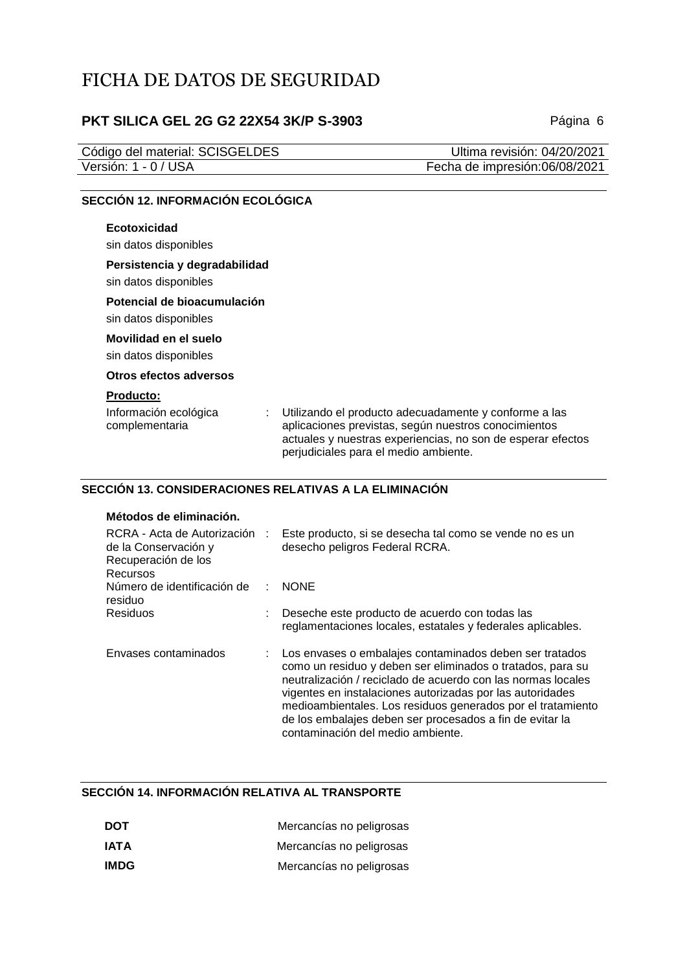# **PKT SILICA GEL 2G G2 22X54 3K/P S-3903** Página 6

| Código del material: SCISGELDES | Ultima revisión: 04/20/2021   |
|---------------------------------|-------------------------------|
| Versión: 1 - 0 / USA            | Fecha de impresión:06/08/2021 |

## **SECCIÓN 12. INFORMACIÓN ECOLÓGICA**

### **Ecotoxicidad**

sin datos disponibles

# **Persistencia y degradabilidad**

sin datos disponibles

# **Potencial de bioacumulación**

sin datos disponibles

### **Movilidad en el suelo**

sin datos disponibles

### **Otros efectos adversos**

#### **Producto:**

| Información ecológica<br>complementaria | : Utilizando el producto adecuadamente y conforme a las<br>aplicaciones previstas, según nuestros conocimientos |
|-----------------------------------------|-----------------------------------------------------------------------------------------------------------------|
|                                         | actuales y nuestras experiencias, no son de esperar efectos<br>perjudiciales para el medio ambiente.            |

### **SECCIÓN 13. CONSIDERACIONES RELATIVAS A LA ELIMINACIÓN**

# **Métodos de eliminación.**

| RCRA - Acta de Autorización<br>de la Conservación y<br>Recuperación de los<br>Recursos | Este producto, si se desecha tal como se vende no es un<br>desecho peligros Federal RCRA.                                                                                                                                                                                                                                                                                                                          |
|----------------------------------------------------------------------------------------|--------------------------------------------------------------------------------------------------------------------------------------------------------------------------------------------------------------------------------------------------------------------------------------------------------------------------------------------------------------------------------------------------------------------|
| Número de identificación de<br>residuo                                                 | <b>NONE</b>                                                                                                                                                                                                                                                                                                                                                                                                        |
| Residuos                                                                               | Deseche este producto de acuerdo con todas las<br>reglamentaciones locales, estatales y federales aplicables.                                                                                                                                                                                                                                                                                                      |
| Envases contaminados                                                                   | Los envases o embalajes contaminados deben ser tratados<br>como un residuo y deben ser eliminados o tratados, para su<br>neutralización / reciclado de acuerdo con las normas locales<br>vigentes en instalaciones autorizadas por las autoridades<br>medioambientales. Los residuos generados por el tratamiento<br>de los embalajes deben ser procesados a fin de evitar la<br>contaminación del medio ambiente. |

# **SECCIÓN 14. INFORMACIÓN RELATIVA AL TRANSPORTE**

| <b>DOT</b>  | Mercancías no peligrosas |
|-------------|--------------------------|
| <b>IATA</b> | Mercancías no peligrosas |
| <b>IMDG</b> | Mercancías no peligrosas |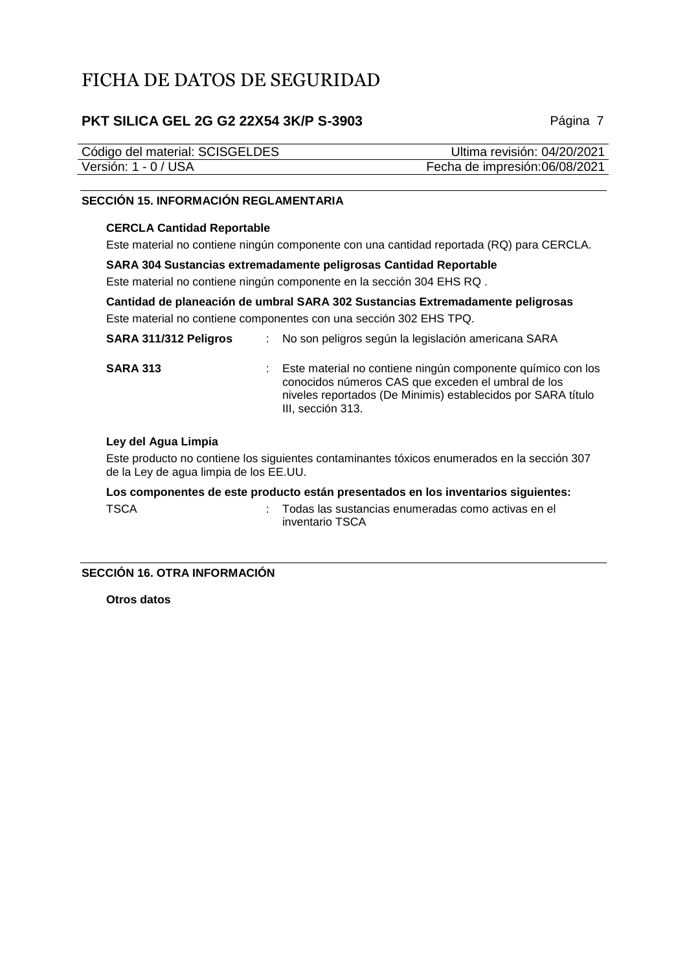# **PKT SILICA GEL 2G G2 22X54 3K/P S-3903** PAT **Página 7**

| Código del material: SCISGELDES | Ultima revisión: 04/20/2021   |
|---------------------------------|-------------------------------|
| Versión: 1 - 0 / USA            | Fecha de impresión:06/08/2021 |

### **SECCIÓN 15. INFORMACIÓN REGLAMENTARIA**

#### **CERCLA Cantidad Reportable**

Este material no contiene ningún componente con una cantidad reportada (RQ) para CERCLA.

#### **SARA 304 Sustancias extremadamente peligrosas Cantidad Reportable**

Este material no contiene ningún componente en la sección 304 EHS RQ .

**Cantidad de planeación de umbral SARA 302 Sustancias Extremadamente peligrosas** Este material no contiene componentes con una sección 302 EHS TPQ.

| SARA 311/312 Peligros | ÷. | No son peligros según la legislación americana SARA                                                                                                                                                    |
|-----------------------|----|--------------------------------------------------------------------------------------------------------------------------------------------------------------------------------------------------------|
| <b>SARA 313</b>       | ÷  | Este material no contiene ningún componente químico con los<br>conocidos números CAS que exceden el umbral de los<br>niveles reportados (De Minimis) establecidos por SARA título<br>III. sección 313. |
| Ley del Agua Limpia   |    |                                                                                                                                                                                                        |

Este producto no contiene los siguientes contaminantes tóxicos enumerados en la sección 307 de la Ley de agua limpia de los EE.UU.

#### **Los componentes de este producto están presentados en los inventarios siguientes:** TSCA : Todas las sustancias enumeradas como activas en el inventario TSCA

#### **SECCIÓN 16. OTRA INFORMACIÓN**

**Otros datos**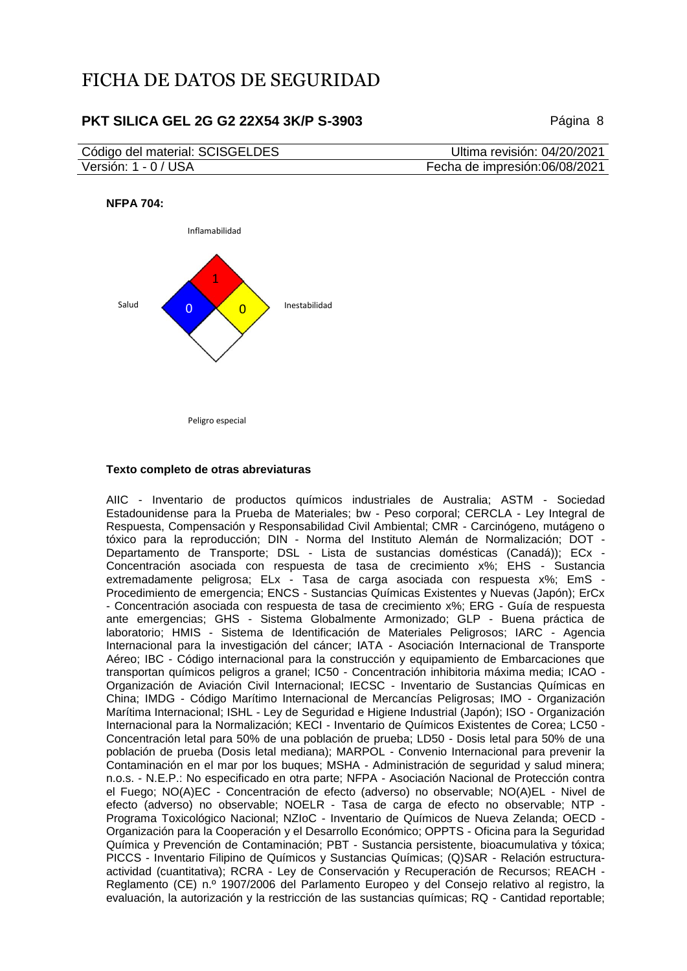# **PKT SILICA GEL 2G G2 22X54 3K/P S-3903** Página 8

| Código del material: SCISGELDES | Ultima revisión: 04/20/2021   |
|---------------------------------|-------------------------------|
| Versión: 1 - 0 / USA            | Fecha de impresión:06/08/2021 |

#### **NFPA 704:**



#### **Texto completo de otras abreviaturas**

AIIC - Inventario de productos químicos industriales de Australia; ASTM - Sociedad Estadounidense para la Prueba de Materiales; bw - Peso corporal; CERCLA - Ley Integral de Respuesta, Compensación y Responsabilidad Civil Ambiental; CMR - Carcinógeno, mutágeno o tóxico para la reproducción; DIN - Norma del Instituto Alemán de Normalización; DOT - Departamento de Transporte; DSL - Lista de sustancias domésticas (Canadá)); ECx - Concentración asociada con respuesta de tasa de crecimiento x%; EHS - Sustancia extremadamente peligrosa; ELx - Tasa de carga asociada con respuesta x%; EmS - Procedimiento de emergencia; ENCS - Sustancias Químicas Existentes y Nuevas (Japón); ErCx - Concentración asociada con respuesta de tasa de crecimiento x%; ERG - Guía de respuesta ante emergencias; GHS - Sistema Globalmente Armonizado; GLP - Buena práctica de laboratorio; HMIS - Sistema de Identificación de Materiales Peligrosos; IARC - Agencia Internacional para la investigación del cáncer; IATA - Asociación Internacional de Transporte Aéreo; IBC - Código internacional para la construcción y equipamiento de Embarcaciones que transportan químicos peligros a granel; IC50 - Concentración inhibitoria máxima media; ICAO - Organización de Aviación Civil Internacional; IECSC - Inventario de Sustancias Químicas en China; IMDG - Código Marítimo Internacional de Mercancías Peligrosas; IMO - Organización Marítima Internacional; ISHL - Ley de Seguridad e Higiene Industrial (Japón); ISO - Organización Internacional para la Normalización; KECI - Inventario de Químicos Existentes de Corea; LC50 - Concentración letal para 50% de una población de prueba; LD50 - Dosis letal para 50% de una población de prueba (Dosis letal mediana); MARPOL - Convenio Internacional para prevenir la Contaminación en el mar por los buques; MSHA - Administración de seguridad y salud minera; n.o.s. - N.E.P.: No especificado en otra parte; NFPA - Asociación Nacional de Protección contra el Fuego; NO(A)EC - Concentración de efecto (adverso) no observable; NO(A)EL - Nivel de efecto (adverso) no observable; NOELR - Tasa de carga de efecto no observable; NTP - Programa Toxicológico Nacional; NZIoC - Inventario de Químicos de Nueva Zelanda; OECD - Organización para la Cooperación y el Desarrollo Económico; OPPTS - Oficina para la Seguridad Química y Prevención de Contaminación; PBT - Sustancia persistente, bioacumulativa y tóxica; PICCS - Inventario Filipino de Químicos y Sustancias Químicas; (Q)SAR - Relación estructuraactividad (cuantitativa); RCRA - Ley de Conservación y Recuperación de Recursos; REACH - Reglamento (CE) n.º 1907/2006 del Parlamento Europeo y del Consejo relativo al registro, la evaluación, la autorización y la restricción de las sustancias químicas; RQ - Cantidad reportable;